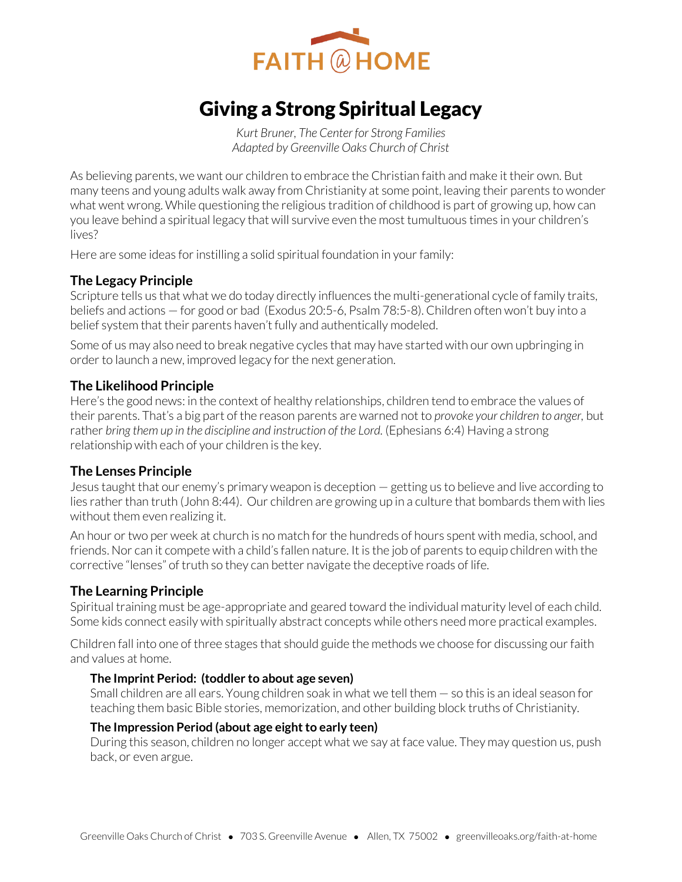

# Giving a Strong Spiritual Legacy

*Kurt Bruner, The Center for Strong Families Adapted by Greenville Oaks Church of Christ* 

As believing parents, we want our children to embrace the Christian faith and make it their own. But many teens and young adults walk away from Christianity at some point, leaving their parents to wonder what went wrong. While questioning the religious tradition of childhood is part of growing up, how can you leave behind a spiritual legacy that will survive even the most tumultuous times in your children's lives?

Here are some ideas for instilling a solid spiritual foundation in your family:

## **The Legacy Principle**

Scripture tells us that what we do today directly influences the multi-generational cycle of family traits, beliefs and actions — for good or bad (Exodus 20:5-6, Psalm 78:5-8). Children often won't buy into a belief system that their parents haven't fully and authentically modeled.

Some of us may also need to break negative cycles that may have started with our own upbringing in order to launch a new, improved legacy for the next generation.

#### **The Likelihood Principle**

Here's the good news: in the context of healthy relationships, children tend to embrace the values of their parents. That's a big part of the reason parents are warned not to *provoke your children to anger,* but rather *bring them up in the discipline and instruction of the Lord.* (Ephesians 6:4) Having a strong relationship with each of your children is the key.

## **The Lenses Principle**

Jesus taught that our enemy's primary weapon is deception — getting us to believe and live according to lies rather than truth (John 8:44). Our children are growing up in a culture that bombards them with lies without them even realizing it.

An hour or two per week at church is no match for the hundreds of hours spent with media, school, and friends. Nor can it compete with a child's fallen nature. It is the job of parents to equip children with the corrective "lenses" of truth so they can better navigate the deceptive roads of life.

## **The Learning Principle**

Spiritual training must be age-appropriate and geared toward the individual maturity level of each child. Some kids connect easily with spiritually abstract concepts while others need more practical examples.

Children fall into one of three stages that should guide the methods we choose for discussing our faith and values at home.

#### **The Imprint Period: (toddler to about age seven)**

Small children are all ears. Young children soak in what we tell them — so this is an ideal season for teaching them basic Bible stories, memorization, and other building block truths of Christianity.

#### **The Impression Period (about age eight to early teen)**

During this season, children no longer accept what we say at face value. They may question us, push back, or even argue.